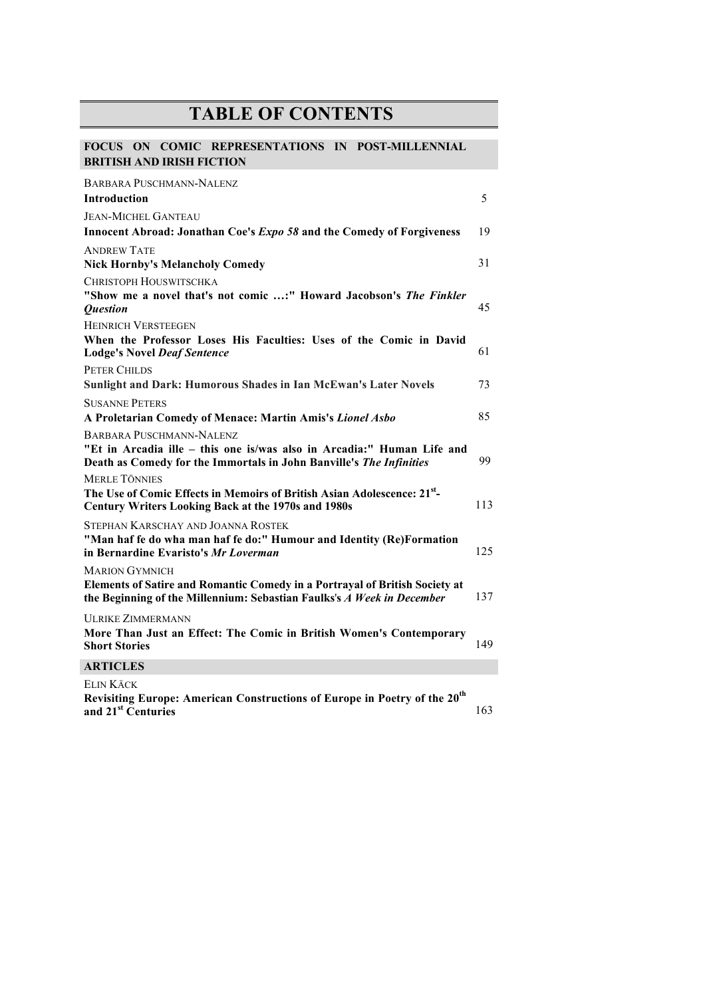## **TABLE OF CONTENTS**

## **FOCUS ON COMIC REPRESENTATIONS IN POST-MILLENNIAL BRITISH AND IRISH FICTION**

| <b>BARBARA PUSCHMANN-NALENZ</b>                                                                                                                       |     |
|-------------------------------------------------------------------------------------------------------------------------------------------------------|-----|
| <b>Introduction</b>                                                                                                                                   | 5   |
| <b>JEAN-MICHEL GANTEAU</b>                                                                                                                            |     |
| Innocent Abroad: Jonathan Coe's Expo 58 and the Comedy of Forgiveness                                                                                 | 19  |
| <b>ANDREW TATE</b>                                                                                                                                    |     |
| <b>Nick Hornby's Melancholy Comedy</b>                                                                                                                | 31  |
| CHRISTOPH HOUSWITSCHKA                                                                                                                                |     |
| "Show me a novel that's not comic :" Howard Jacobson's The Finkler                                                                                    |     |
| <i><b>Question</b></i>                                                                                                                                | 45  |
| <b>HEINRICH VERSTEEGEN</b>                                                                                                                            |     |
| When the Professor Loses His Faculties: Uses of the Comic in David<br><b>Lodge's Novel Deaf Sentence</b>                                              | 61  |
| <b>PETER CHILDS</b>                                                                                                                                   |     |
| <b>Sunlight and Dark: Humorous Shades in Ian McEwan's Later Novels</b>                                                                                | 73  |
| <b>SUSANNE PETERS</b>                                                                                                                                 |     |
| A Proletarian Comedy of Menace: Martin Amis's Lionel Asbo                                                                                             | 85  |
| BARBARA PUSCHMANN-NALENZ                                                                                                                              |     |
| "Et in Arcadia ille - this one is/was also in Arcadia:" Human Life and<br>Death as Comedy for the Immortals in John Banville's The Infinities         | 99  |
| <b>MERLE TÖNNIES</b>                                                                                                                                  |     |
| The Use of Comic Effects in Memoirs of British Asian Adolescence: 21 <sup>st</sup> -<br><b>Century Writers Looking Back at the 1970s and 1980s</b>    | 113 |
| STEPHAN KARSCHAY AND JOANNA ROSTEK                                                                                                                    |     |
| "Man haf fe do wha man haf fe do:" Humour and Identity (Re)Formation<br>in Bernardine Evaristo's Mr Loverman                                          | 125 |
| <b>MARION GYMNICH</b>                                                                                                                                 |     |
| Elements of Satire and Romantic Comedy in a Portrayal of British Society at<br>the Beginning of the Millennium: Sebastian Faulks's A Week in December | 137 |
| <b>ULRIKE ZIMMERMANN</b>                                                                                                                              |     |
| More Than Just an Effect: The Comic in British Women's Contemporary<br><b>Short Stories</b>                                                           | 149 |
| <b>ARTICLES</b>                                                                                                                                       |     |
| Elin Käck<br>Revisiting Europe: American Constructions of Europe in Poetry of the 20 <sup>th</sup><br>and 21 <sup>st</sup> Centuries                  | 163 |